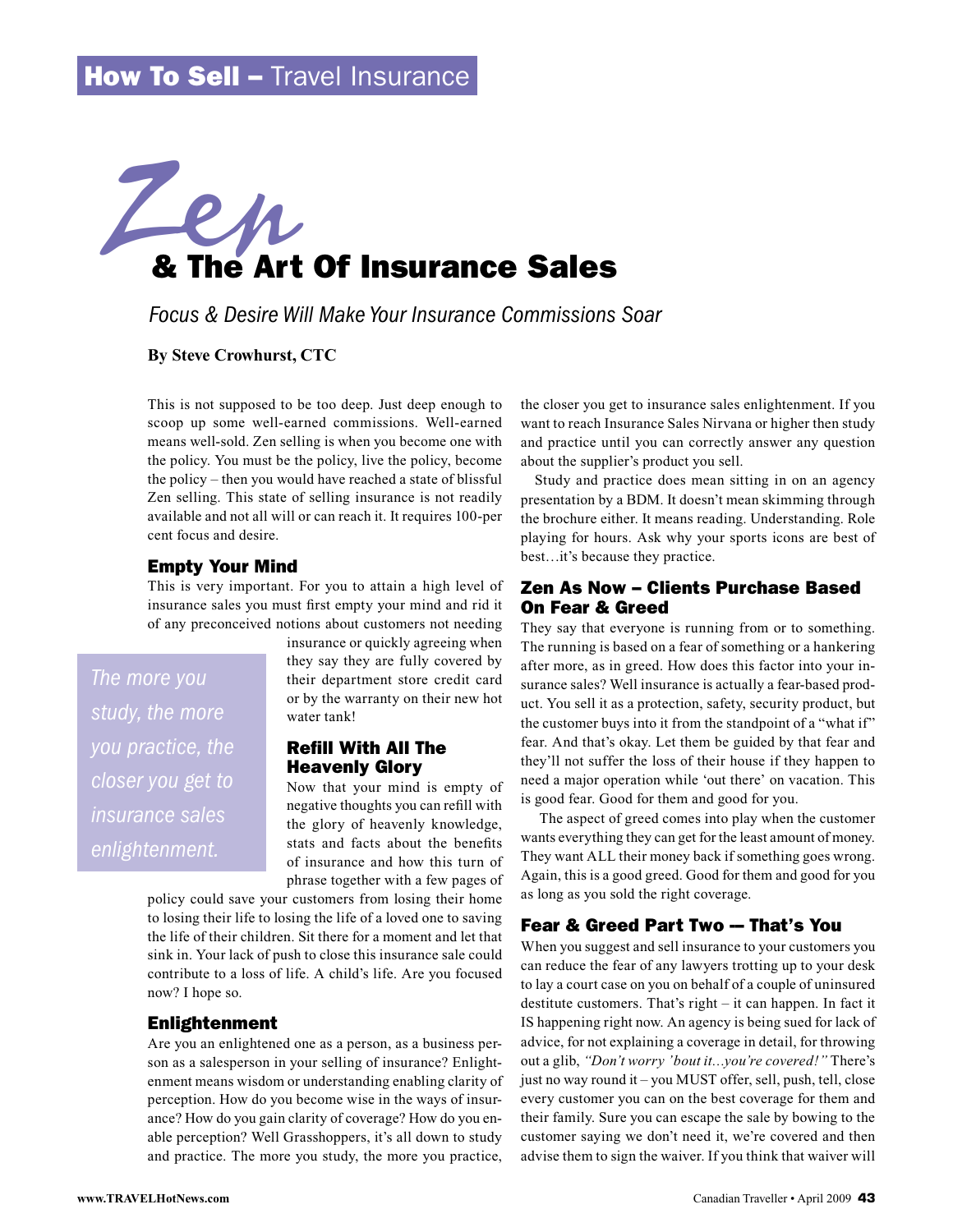# & The Art Of Insurance Sales Zen

*Focus & Desire Will Make Your Insurance Commissions Soar*

# **By Steve Crowhurst, CTC**

This is not supposed to be too deep. Just deep enough to scoop up some well-earned commissions. Well-earned means well-sold. Zen selling is when you become one with the policy. You must be the policy, live the policy, become the policy – then you would have reached a state of blissful Zen selling. This state of selling insurance is not readily available and not all will or can reach it. It requires 100-per cent focus and desire.

# Empty Your Mind

This is very important. For you to attain a high level of insurance sales you must first empty your mind and rid it of any preconceived notions about customers not needing

*The more you study, the more you practice, the closer you get to insurance sales enlightenment.*

insurance or quickly agreeing when they say they are fully covered by their department store credit card or by the warranty on their new hot water tank!

# Refill With All The Heavenly Glory

Now that your mind is empty of negative thoughts you can refill with the glory of heavenly knowledge, stats and facts about the benefits of insurance and how this turn of phrase together with a few pages of

policy could save your customers from losing their home to losing their life to losing the life of a loved one to saving the life of their children. Sit there for a moment and let that sink in. Your lack of push to close this insurance sale could contribute to a loss of life. A child's life. Are you focused now? I hope so.

## Enlightenment

Are you an enlightened one as a person, as a business person as a salesperson in your selling of insurance? Enlightenment means wisdom or understanding enabling clarity of perception. How do you become wise in the ways of insurance? How do you gain clarity of coverage? How do you enable perception? Well Grasshoppers, it's all down to study and practice. The more you study, the more you practice,

the closer you get to insurance sales enlightenment. If you want to reach Insurance Sales Nirvana or higher then study and practice until you can correctly answer any question about the supplier's product you sell.

Study and practice does mean sitting in on an agency presentation by a BDM. It doesn't mean skimming through the brochure either. It means reading. Understanding. Role playing for hours. Ask why your sports icons are best of best...it's because they practice.

# Zen As Now – Clients Purchase Based On Fear & Greed

They say that everyone is running from or to something. The running is based on a fear of something or a hankering after more, as in greed. How does this factor into your insurance sales? Well insurance is actually a fear-based product. You sell it as a protection, safety, security product, but the customer buys into it from the standpoint of a "what if" fear. And that's okay. Let them be guided by that fear and they'll not suffer the loss of their house if they happen to need a major operation while 'out there' on vacation. This is good fear. Good for them and good for you.

The aspect of greed comes into play when the customer wants everything they can get for the least amount of money. They want ALL their money back if something goes wrong. Again, this is a good greed. Good for them and good for you as long as you sold the right coverage.

# Fear & Greed Part Two - That's You

When you suggest and sell insurance to your customers you can reduce the fear of any lawyers trotting up to your desk to lay a court case on you on behalf of a couple of uninsured destitute customers. That's right  $-$  it can happen. In fact it IS happening right now. An agency is being sued for lack of advice, for not explaining a coverage in detail, for throwing out a glib, "Don't worry 'bout it...you're covered!" There's just no way round it – you MUST offer, sell, push, tell, close every customer you can on the best coverage for them and their family. Sure you can escape the sale by bowing to the customer saying we don't need it, we're covered and then advise them to sign the waiver. If you think that waiver will